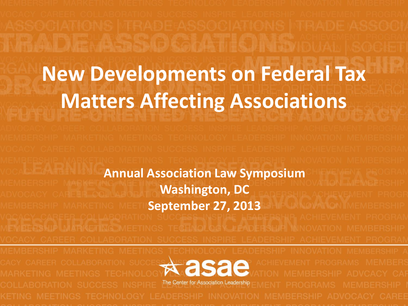# **New Developments on Federal Tax Matters Affecting Associations**

**Annual Association Law Symposium Washington, DC September 27, 2013**  $\star$  asae The Center for Association Leadership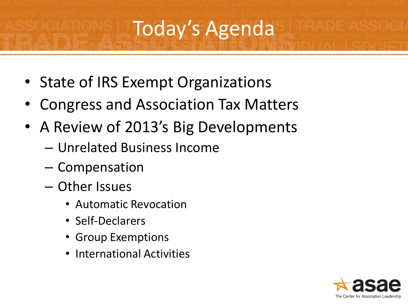## Today's Agenda

- State of IRS Exempt Organizations
- Congress and Association Tax Matters
- A Review of 2013's Big Developments
	- Unrelated Business Income
	- Compensation
	- Other Issues
		- Automatic Revocation
		- Self-Declarers
		- Group Exemptions
		- International Activities

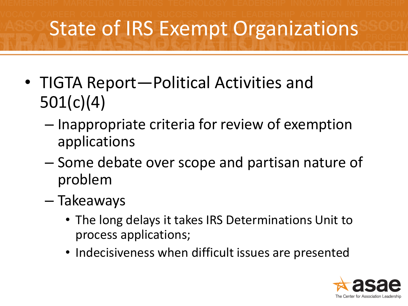### State of IRS Exempt Organizations

- TIGTA Report—Political Activities and 501(c)(4)
	- Inappropriate criteria for review of exemption applications
	- Some debate over scope and partisan nature of problem
	- Takeaways
		- The long delays it takes IRS Determinations Unit to process applications;
		- Indecisiveness when difficult issues are presented

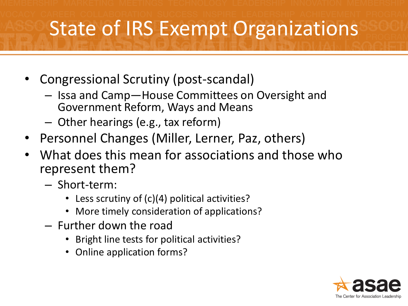### State of IRS Exempt Organizations

- Congressional Scrutiny (post-scandal)
	- Issa and Camp—House Committees on Oversight and Government Reform, Ways and Means
	- Other hearings (e.g., tax reform)
- Personnel Changes (Miller, Lerner, Paz, others)
- What does this mean for associations and those who represent them?
	- Short-term:
		- Less scrutiny of (c)(4) political activities?
		- More timely consideration of applications?
	- Further down the road
		- Bright line tests for political activities?
		- Online application forms?

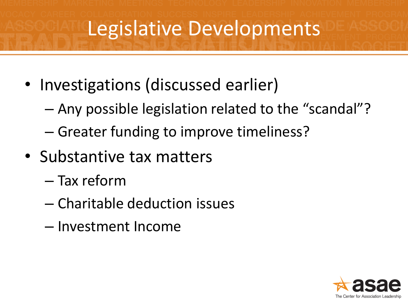## Legislative Developments

- Investigations (discussed earlier)
	- Any possible legislation related to the "scandal"?
	- Greater funding to improve timeliness?
- Substantive tax matters
	- Tax reform
	- Charitable deduction issues
	- Investment Income

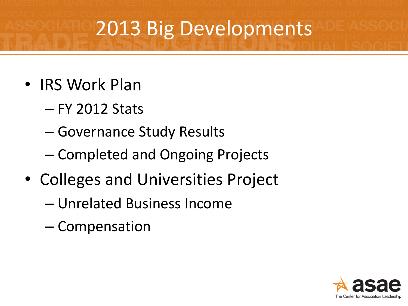- IRS Work Plan
	- FY 2012 Stats
	- Governance Study Results
	- Completed and Ongoing Projects
- Colleges and Universities Project
	- Unrelated Business Income
	- Compensation

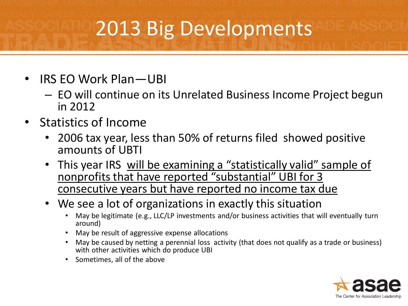- IRS EO Work Plan—UBI
	- EO will continue on its Unrelated Business Income Project begun in 2012
- Statistics of Income
	- 2006 tax year, less than 50% of returns filed showed positive amounts of UBTI
	- This year IRS will be examining a "statistically valid" sample of nonprofits that have reported "substantial" UBI for 3 consecutive years but have reported no income tax due
	- We see a lot of organizations in exactly this situation
		- May be legitimate (e.g., LLC/LP investments and/or business activities that will eventually turn around)
		- May be result of aggressive expense allocations
		- May be caused by netting a perennial loss activity (that does not qualify as a trade or business) with other activities which do produce UBI
		- Sometimes, all of the above

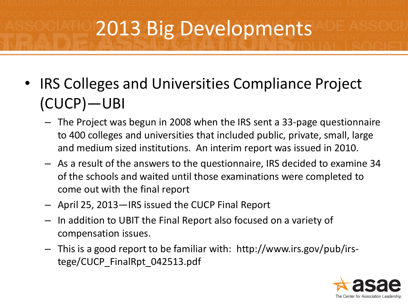- IRS Colleges and Universities Compliance Project (CUCP)—UBI
	- The Project was begun in 2008 when the IRS sent a 33-page questionnaire to 400 colleges and universities that included public, private, small, large and medium sized institutions. An interim report was issued in 2010.
	- As a result of the answers to the questionnaire, IRS decided to examine 34 of the schools and waited until those examinations were completed to come out with the final report
	- April 25, 2013—IRS issued the CUCP Final Report
	- In addition to UBIT the Final Report also focused on a variety of compensation issues.
	- This is a good report to be familiar with: http://www.irs.gov/pub/irstege/CUCP\_FinalRpt\_042513.pdf

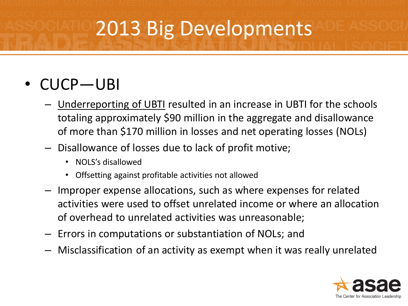#### • CUCP—UBI

- Underreporting of UBTI resulted in an increase in UBTI for the schools totaling approximately \$90 million in the aggregate and disallowance of more than \$170 million in losses and net operating losses (NOLs)
- Disallowance of losses due to lack of profit motive;
	- NOLS's disallowed
	- Offsetting against profitable activities not allowed
- Improper expense allocations, such as where expenses for related activities were used to offset unrelated income or where an allocation of overhead to unrelated activities was unreasonable;
- Errors in computations or substantiation of NOLs; and
- Misclassification of an activity as exempt when it was really unrelated

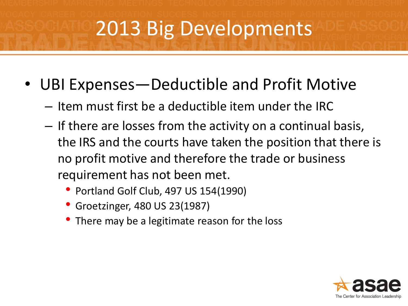- UBI Expenses—Deductible and Profit Motive
	- Item must first be a deductible item under the IRC
	- If there are losses from the activity on a continual basis, the IRS and the courts have taken the position that there is no profit motive and therefore the trade or business requirement has not been met.
		- Portland Golf Club, 497 US 154(1990)
		- Groetzinger, 480 US 23(1987)
		- There may be a legitimate reason for the loss

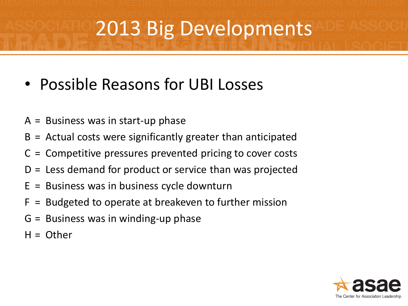- Possible Reasons for UBI Losses
- $A =$  Business was in start-up phase
- B = Actual costs were significantly greater than anticipated
- C = Competitive pressures prevented pricing to cover costs
- D = Less demand for product or service than was projected
- $E =$  Business was in business cycle downturn
- F = Budgeted to operate at breakeven to further mission
- G = Business was in winding-up phase
- $H =$  Other

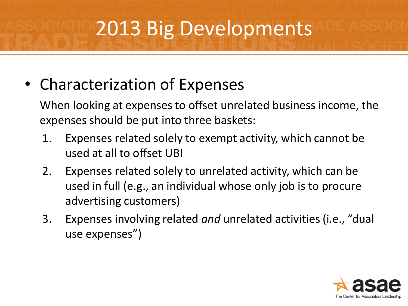• Characterization of Expenses

When looking at expenses to offset unrelated business income, the expenses should be put into three baskets:

- 1. Expenses related solely to exempt activity, which cannot be used at all to offset UBI
- 2. Expenses related solely to unrelated activity, which can be used in full (e.g., an individual whose only job is to procure advertising customers)
- 3. Expenses involving related *and* unrelated activities (i.e., "dual use expenses")

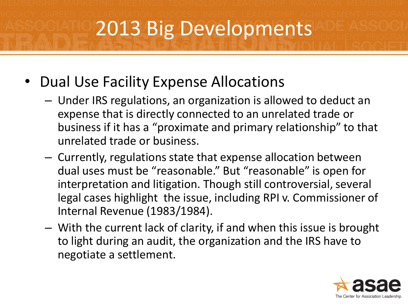- Dual Use Facility Expense Allocations
	- Under IRS regulations, an organization is allowed to deduct an expense that is directly connected to an unrelated trade or business if it has a "proximate and primary relationship" to that unrelated trade or business.
	- Currently, regulations state that expense allocation between dual uses must be "reasonable." But "reasonable" is open for interpretation and litigation. Though still controversial, several legal cases highlight the issue, including RPI v. Commissioner of Internal Revenue (1983/1984).
	- With the current lack of clarity, if and when this issue is brought to light during an audit, the organization and the IRS have to negotiate a settlement.

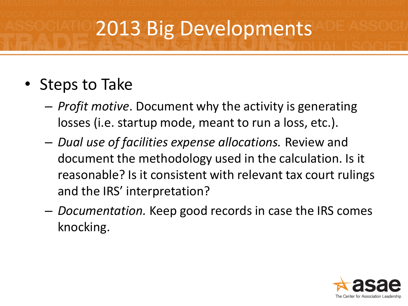#### • Steps to Take

- *Profit motive*. Document why the activity is generating losses (i.e. startup mode, meant to run a loss, etc.).
- *Dual use of facilities expense allocations.* Review and document the methodology used in the calculation. Is it reasonable? Is it consistent with relevant tax court rulings and the IRS' interpretation?
- *Documentation.* Keep good records in case the IRS comes knocking.

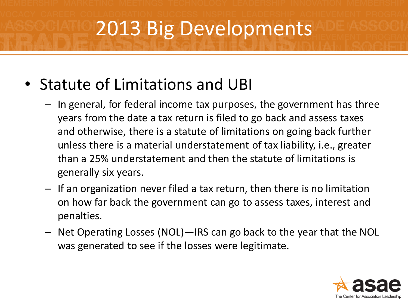- Statute of Limitations and UBI
	- In general, for federal income tax purposes, the government has three years from the date a tax return is filed to go back and assess taxes and otherwise, there is a statute of limitations on going back further unless there is a material understatement of tax liability, i.e., greater than a 25% understatement and then the statute of limitations is generally six years.
	- If an organization never filed a tax return, then there is no limitation on how far back the government can go to assess taxes, interest and penalties.
	- Net Operating Losses (NOL)—IRS can go back to the year that the NOL was generated to see if the losses were legitimate.

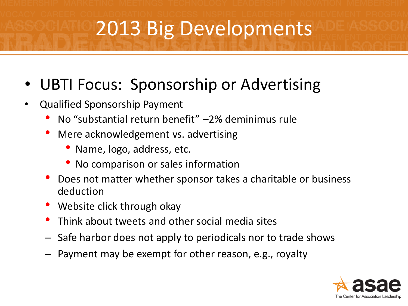#### UBTI Focus: Sponsorship or Advertising

- Qualified Sponsorship Payment
	- No "substantial return benefit" –2% deminimus rule
	- Mere acknowledgement vs. advertising
		- Name, logo, address, etc.
		- No comparison or sales information
	- Does not matter whether sponsor takes a charitable or business deduction
	- Website click through okay
	- Think about tweets and other social media sites
	- Safe harbor does not apply to periodicals nor to trade shows
	- Payment may be exempt for other reason, e.g., royalty

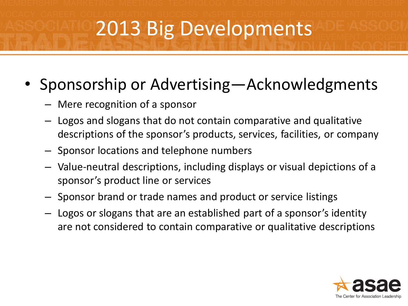#### • Sponsorship or Advertising—Acknowledgments

- Mere recognition of a sponsor
- Logos and slogans that do not contain comparative and qualitative descriptions of the sponsor's products, services, facilities, or company
- Sponsor locations and telephone numbers
- Value-neutral descriptions, including displays or visual depictions of a sponsor's product line or services
- Sponsor brand or trade names and product or service listings
- Logos or slogans that are an established part of a sponsor's identity are not considered to contain comparative or qualitative descriptions

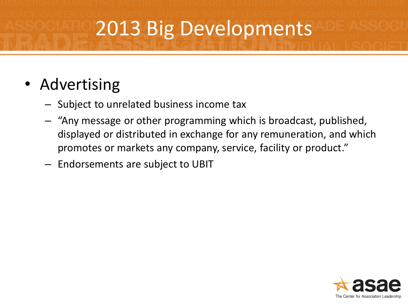#### • Advertising

- Subject to unrelated business income tax
- "Any message or other programming which is broadcast, published, displayed or distributed in exchange for any remuneration, and which promotes or markets any company, service, facility or product."
- Endorsements are subject to UBIT

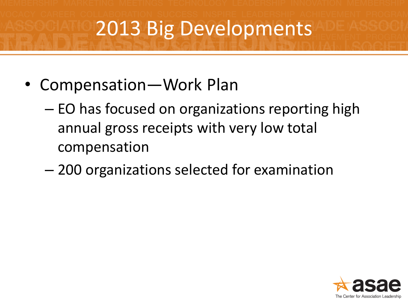- Compensation—Work Plan
	- EO has focused on organizations reporting high annual gross receipts with very low total compensation
	- 200 organizations selected for examination

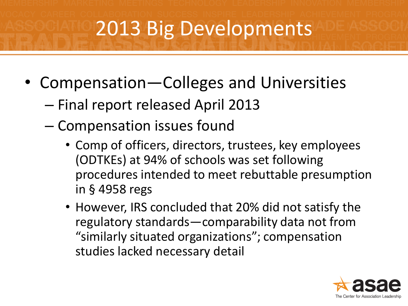- Compensation—Colleges and Universities
	- Final report released April 2013
	- Compensation issues found
		- Comp of officers, directors, trustees, key employees (ODTKEs) at 94% of schools was set following procedures intended to meet rebuttable presumption in § 4958 regs
		- However, IRS concluded that 20% did not satisfy the regulatory standards—comparability data not from "similarly situated organizations"; compensation studies lacked necessary detail

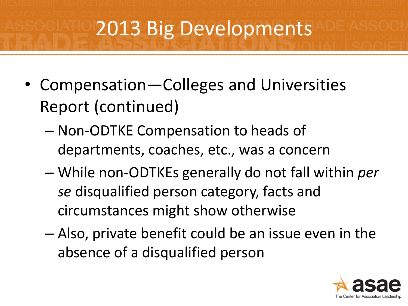- Compensation—Colleges and Universities Report (continued)
	- Non-ODTKE Compensation to heads of departments, coaches, etc., was a concern
	- While non-ODTKEs generally do not fall within *per se* disqualified person category, facts and circumstances might show otherwise
	- Also, private benefit could be an issue even in the absence of a disqualified person

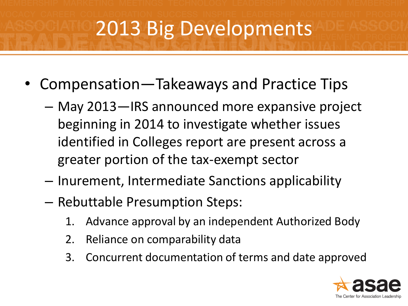- Compensation—Takeaways and Practice Tips
	- May 2013—IRS announced more expansive project beginning in 2014 to investigate whether issues identified in Colleges report are present across a greater portion of the tax-exempt sector
	- Inurement, Intermediate Sanctions applicability
	- Rebuttable Presumption Steps:
		- 1. Advance approval by an independent Authorized Body
		- 2. Reliance on comparability data
		- 3. Concurrent documentation of terms and date approved

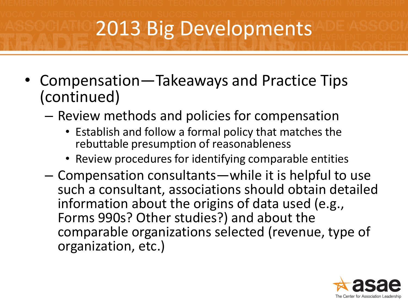- Compensation—Takeaways and Practice Tips (continued)
	- Review methods and policies for compensation
		- Establish and follow a formal policy that matches the rebuttable presumption of reasonableness
		- Review procedures for identifying comparable entities
	- Compensation consultants—while it is helpful to use such a consultant, associations should obtain detailed information about the origins of data used (e.g., Forms 990s? Other studies?) and about the comparable organizations selected (revenue, type of organization, etc.)

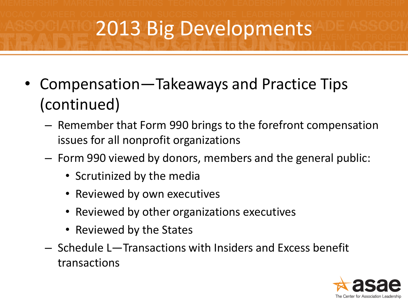- Compensation—Takeaways and Practice Tips (continued)
	- Remember that Form 990 brings to the forefront compensation issues for all nonprofit organizations
	- Form 990 viewed by donors, members and the general public:
		- Scrutinized by the media
		- Reviewed by own executives
		- Reviewed by other organizations executives
		- Reviewed by the States
	- Schedule L—Transactions with Insiders and Excess benefit transactions

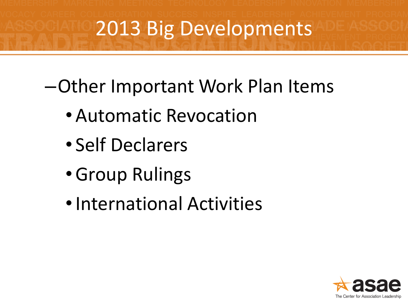–Other Important Work Plan Items

- Automatic Revocation
- Self Declarers
- •Group Rulings
- •International Activities

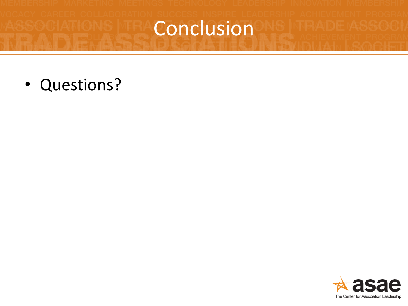## Conclusion

• Questions?